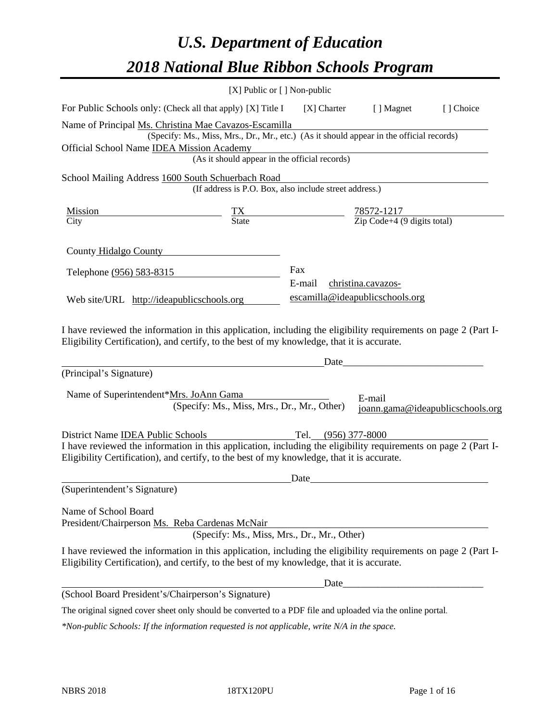# *U.S. Department of Education 2018 National Blue Ribbon Schools Program*

|                                                                                                                                                                                                              | $[X]$ Public or $[ ]$ Non-public                                                         |                                 |                                                         |                                  |  |
|--------------------------------------------------------------------------------------------------------------------------------------------------------------------------------------------------------------|------------------------------------------------------------------------------------------|---------------------------------|---------------------------------------------------------|----------------------------------|--|
| For Public Schools only: (Check all that apply) [X] Title I                                                                                                                                                  |                                                                                          | [X] Charter                     | [ ] Magnet                                              | [] Choice                        |  |
| Name of Principal Ms. Christina Mae Cavazos-Escamilla                                                                                                                                                        |                                                                                          |                                 |                                                         |                                  |  |
|                                                                                                                                                                                                              | (Specify: Ms., Miss, Mrs., Dr., Mr., etc.) (As it should appear in the official records) |                                 |                                                         |                                  |  |
| Official School Name IDEA Mission Academy                                                                                                                                                                    |                                                                                          |                                 |                                                         |                                  |  |
|                                                                                                                                                                                                              | (As it should appear in the official records)                                            |                                 |                                                         |                                  |  |
| School Mailing Address 1600 South Schuerbach Road                                                                                                                                                            | (If address is P.O. Box, also include street address.)                                   |                                 |                                                         |                                  |  |
| Mission                                                                                                                                                                                                      |                                                                                          |                                 |                                                         |                                  |  |
| City                                                                                                                                                                                                         | $\frac{TX}{State}$                                                                       |                                 | $\frac{78572-1217}{\text{Zip Code}+4 (9 digits total)}$ |                                  |  |
| County Hidalgo County                                                                                                                                                                                        |                                                                                          |                                 |                                                         |                                  |  |
| Telephone (956) 583-8315                                                                                                                                                                                     |                                                                                          | Fax                             |                                                         |                                  |  |
|                                                                                                                                                                                                              |                                                                                          | E-mail                          | christina.cavazos-                                      |                                  |  |
| Web site/URL http://ideapublicschools.org                                                                                                                                                                    |                                                                                          | escamilla@ideapublicschools.org |                                                         |                                  |  |
| (Principal's Signature)                                                                                                                                                                                      |                                                                                          | Date                            |                                                         |                                  |  |
| Name of Superintendent*Mrs. JoAnn Gama                                                                                                                                                                       | (Specify: Ms., Miss, Mrs., Dr., Mr., Other)                                              |                                 | E-mail                                                  | joann.gama@ideapublicschools.org |  |
| District Name <b>IDEA</b> Public Schools                                                                                                                                                                     |                                                                                          | Tel. (956) 377-8000             |                                                         |                                  |  |
| I have reviewed the information in this application, including the eligibility requirements on page 2 (Part I-<br>Eligibility Certification), and certify, to the best of my knowledge, that it is accurate. |                                                                                          |                                 |                                                         |                                  |  |
|                                                                                                                                                                                                              |                                                                                          | Date                            |                                                         |                                  |  |
| (Superintendent's Signature)                                                                                                                                                                                 |                                                                                          |                                 |                                                         |                                  |  |
| Name of School Board                                                                                                                                                                                         |                                                                                          |                                 |                                                         |                                  |  |
| President/Chairperson Ms. Reba Cardenas McNair                                                                                                                                                               |                                                                                          |                                 |                                                         |                                  |  |
|                                                                                                                                                                                                              | (Specify: Ms., Miss, Mrs., Dr., Mr., Other)                                              |                                 |                                                         |                                  |  |
| I have reviewed the information in this application, including the eligibility requirements on page 2 (Part I-<br>Eligibility Certification), and certify, to the best of my knowledge, that it is accurate. |                                                                                          |                                 |                                                         |                                  |  |
|                                                                                                                                                                                                              |                                                                                          | Date                            |                                                         |                                  |  |
| (School Board President's/Chairperson's Signature)                                                                                                                                                           |                                                                                          |                                 |                                                         |                                  |  |
|                                                                                                                                                                                                              |                                                                                          |                                 |                                                         |                                  |  |

The original signed cover sheet only should be converted to a PDF file and uploaded via the online portal.

*\*Non-public Schools: If the information requested is not applicable, write N/A in the space.*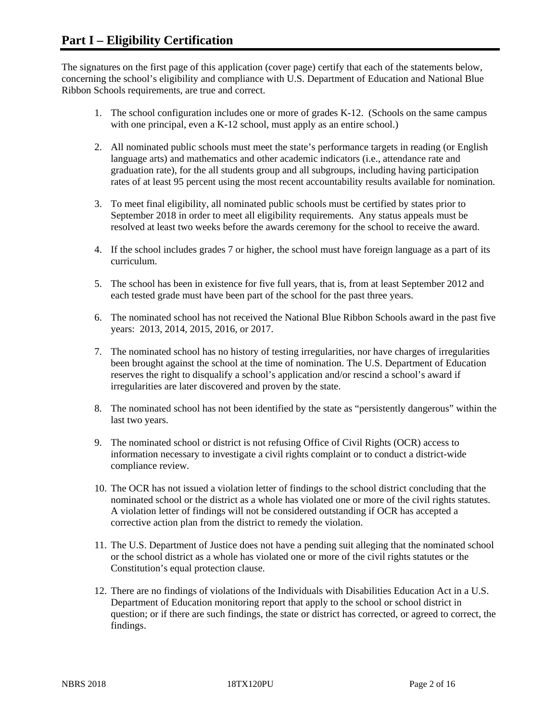The signatures on the first page of this application (cover page) certify that each of the statements below, concerning the school's eligibility and compliance with U.S. Department of Education and National Blue Ribbon Schools requirements, are true and correct.

- 1. The school configuration includes one or more of grades K-12. (Schools on the same campus with one principal, even a K-12 school, must apply as an entire school.)
- 2. All nominated public schools must meet the state's performance targets in reading (or English language arts) and mathematics and other academic indicators (i.e., attendance rate and graduation rate), for the all students group and all subgroups, including having participation rates of at least 95 percent using the most recent accountability results available for nomination.
- 3. To meet final eligibility, all nominated public schools must be certified by states prior to September 2018 in order to meet all eligibility requirements. Any status appeals must be resolved at least two weeks before the awards ceremony for the school to receive the award.
- 4. If the school includes grades 7 or higher, the school must have foreign language as a part of its curriculum.
- 5. The school has been in existence for five full years, that is, from at least September 2012 and each tested grade must have been part of the school for the past three years.
- 6. The nominated school has not received the National Blue Ribbon Schools award in the past five years: 2013, 2014, 2015, 2016, or 2017.
- 7. The nominated school has no history of testing irregularities, nor have charges of irregularities been brought against the school at the time of nomination. The U.S. Department of Education reserves the right to disqualify a school's application and/or rescind a school's award if irregularities are later discovered and proven by the state.
- 8. The nominated school has not been identified by the state as "persistently dangerous" within the last two years.
- 9. The nominated school or district is not refusing Office of Civil Rights (OCR) access to information necessary to investigate a civil rights complaint or to conduct a district-wide compliance review.
- 10. The OCR has not issued a violation letter of findings to the school district concluding that the nominated school or the district as a whole has violated one or more of the civil rights statutes. A violation letter of findings will not be considered outstanding if OCR has accepted a corrective action plan from the district to remedy the violation.
- 11. The U.S. Department of Justice does not have a pending suit alleging that the nominated school or the school district as a whole has violated one or more of the civil rights statutes or the Constitution's equal protection clause.
- 12. There are no findings of violations of the Individuals with Disabilities Education Act in a U.S. Department of Education monitoring report that apply to the school or school district in question; or if there are such findings, the state or district has corrected, or agreed to correct, the findings.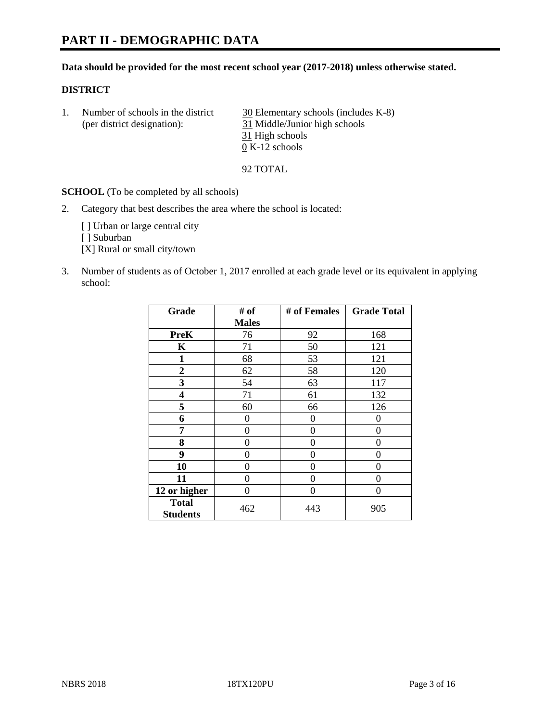# **PART II - DEMOGRAPHIC DATA**

#### **Data should be provided for the most recent school year (2017-2018) unless otherwise stated.**

#### **DISTRICT**

1. Number of schools in the district  $\frac{30}{20}$  Elementary schools (includes K-8) (per district designation): 31 Middle/Junior high schools 31 High schools 0 K-12 schools

92 TOTAL

**SCHOOL** (To be completed by all schools)

2. Category that best describes the area where the school is located:

[] Urban or large central city

[ ] Suburban

[X] Rural or small city/town

3. Number of students as of October 1, 2017 enrolled at each grade level or its equivalent in applying school:

| Grade                           | # of         | # of Females | <b>Grade Total</b> |
|---------------------------------|--------------|--------------|--------------------|
|                                 | <b>Males</b> |              |                    |
| <b>PreK</b>                     | 76           | 92           | 168                |
| K                               | 71           | 50           | 121                |
| 1                               | 68           | 53           | 121                |
| 2                               | 62           | 58           | 120                |
| 3                               | 54           | 63           | 117                |
| 4                               | 71           | 61           | 132                |
| 5                               | 60           | 66           | 126                |
| 6                               | 0            | $\theta$     | 0                  |
| 7                               | 0            | $\theta$     | 0                  |
| 8                               | 0            | $\theta$     | 0                  |
| 9                               | 0            | $\theta$     | 0                  |
| 10                              | 0            | 0            | 0                  |
| 11                              | 0            | 0            | 0                  |
| 12 or higher                    | 0            | 0            | 0                  |
| <b>Total</b><br><b>Students</b> | 462          | 443          | 905                |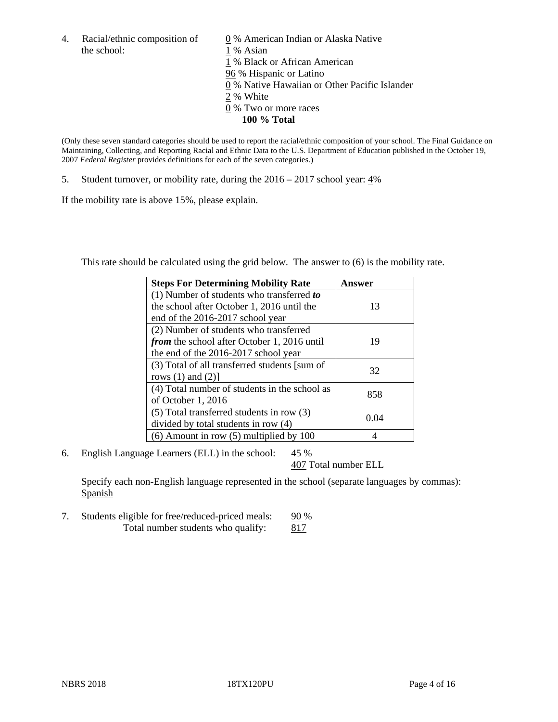the school: 1 % Asian

4. Racial/ethnic composition of  $\qquad 0\%$  American Indian or Alaska Native 1 % Black or African American 96 % Hispanic or Latino 0 % Native Hawaiian or Other Pacific Islander 2 % White 0 % Two or more races **100 % Total**

(Only these seven standard categories should be used to report the racial/ethnic composition of your school. The Final Guidance on Maintaining, Collecting, and Reporting Racial and Ethnic Data to the U.S. Department of Education published in the October 19, 2007 *Federal Register* provides definitions for each of the seven categories.)

5. Student turnover, or mobility rate, during the 2016 – 2017 school year: 4%

If the mobility rate is above 15%, please explain.

This rate should be calculated using the grid below. The answer to (6) is the mobility rate.

| <b>Steps For Determining Mobility Rate</b>         | Answer |
|----------------------------------------------------|--------|
| $(1)$ Number of students who transferred to        |        |
| the school after October 1, 2016 until the         | 13     |
| end of the 2016-2017 school year                   |        |
| (2) Number of students who transferred             |        |
| <i>from</i> the school after October 1, 2016 until | 19     |
| the end of the 2016-2017 school year               |        |
| (3) Total of all transferred students [sum of      | 32     |
| rows $(1)$ and $(2)$ ]                             |        |
| (4) Total number of students in the school as      | 858    |
| of October 1, 2016                                 |        |
| (5) Total transferred students in row (3)          |        |
| divided by total students in row (4)               | 0.04   |
| $(6)$ Amount in row $(5)$ multiplied by 100        |        |

6. English Language Learners (ELL) in the school:  $45\%$ 

407 Total number ELL

Specify each non-English language represented in the school (separate languages by commas): Spanish

7. Students eligible for free/reduced-priced meals: 90 % Total number students who qualify: 817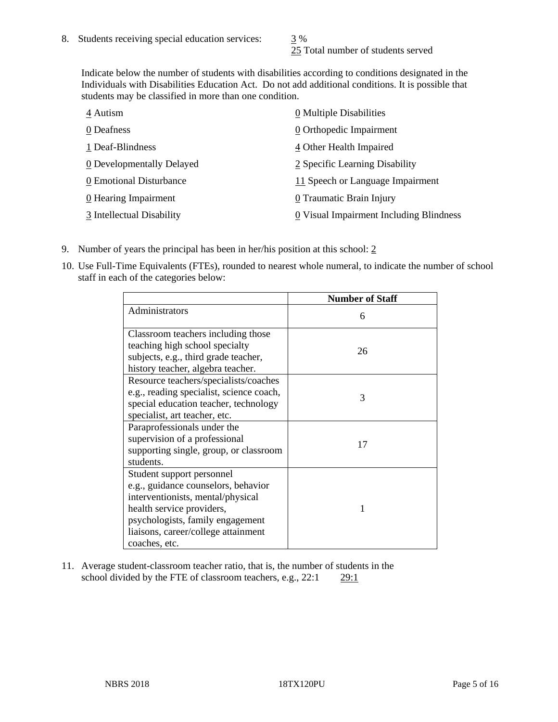25 Total number of students served

Indicate below the number of students with disabilities according to conditions designated in the Individuals with Disabilities Education Act. Do not add additional conditions. It is possible that students may be classified in more than one condition.

| 4 Autism                           | 0 Multiple Disabilities                 |
|------------------------------------|-----------------------------------------|
| 0 Deafness                         | 0 Orthopedic Impairment                 |
| 1 Deaf-Blindness                   | 4 Other Health Impaired                 |
| 0 Developmentally Delayed          | 2 Specific Learning Disability          |
| 0 Emotional Disturbance            | 11 Speech or Language Impairment        |
| $\underline{0}$ Hearing Impairment | 0 Traumatic Brain Injury                |
| 3 Intellectual Disability          | 0 Visual Impairment Including Blindness |

- 9. Number of years the principal has been in her/his position at this school:  $2$
- 10. Use Full-Time Equivalents (FTEs), rounded to nearest whole numeral, to indicate the number of school staff in each of the categories below:

|                                                                                                                                                                                                                                | <b>Number of Staff</b> |
|--------------------------------------------------------------------------------------------------------------------------------------------------------------------------------------------------------------------------------|------------------------|
| Administrators                                                                                                                                                                                                                 | 6                      |
| Classroom teachers including those<br>teaching high school specialty<br>subjects, e.g., third grade teacher,<br>history teacher, algebra teacher.                                                                              | 26                     |
| Resource teachers/specialists/coaches<br>e.g., reading specialist, science coach,<br>special education teacher, technology<br>specialist, art teacher, etc.                                                                    | 3                      |
| Paraprofessionals under the<br>supervision of a professional<br>supporting single, group, or classroom<br>students.                                                                                                            | 17                     |
| Student support personnel<br>e.g., guidance counselors, behavior<br>interventionists, mental/physical<br>health service providers,<br>psychologists, family engagement<br>liaisons, career/college attainment<br>coaches, etc. |                        |

11. Average student-classroom teacher ratio, that is, the number of students in the school divided by the FTE of classroom teachers, e.g., 22:1 29:1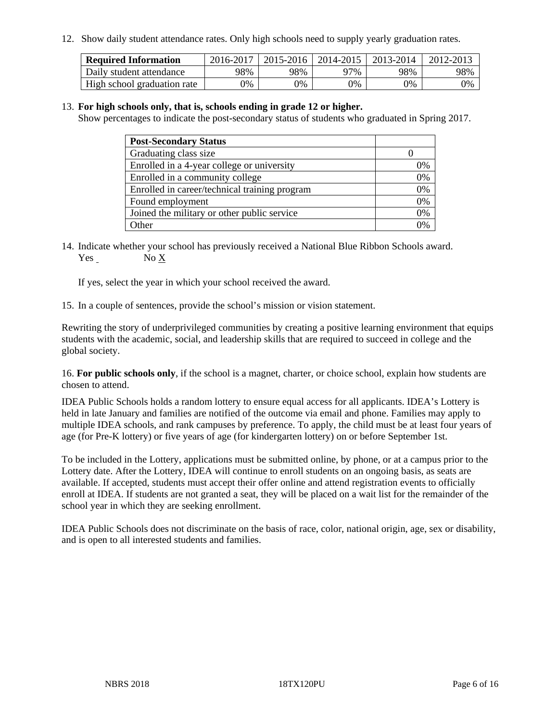12. Show daily student attendance rates. Only high schools need to supply yearly graduation rates.

| <b>Required Information</b> | 2016-2017 | 2015-2016 | 2014-2015 | 2013-2014 | 2012-2013 |
|-----------------------------|-----------|-----------|-----------|-----------|-----------|
| Daily student attendance    | 98%       | 98%       | 97%       | 98%       | 98%       |
| High school graduation rate | 0%        | 0%        | 0%        | 0%        | 9%        |

#### 13. **For high schools only, that is, schools ending in grade 12 or higher.**

Show percentages to indicate the post-secondary status of students who graduated in Spring 2017.

| <b>Post-Secondary Status</b>                  |    |
|-----------------------------------------------|----|
| Graduating class size                         |    |
| Enrolled in a 4-year college or university    | 0% |
| Enrolled in a community college               | 0% |
| Enrolled in career/technical training program | 0% |
| Found employment                              | 0% |
| Joined the military or other public service   | 0% |
| Other                                         |    |

14. Indicate whether your school has previously received a National Blue Ribbon Schools award. Yes No X

If yes, select the year in which your school received the award.

15. In a couple of sentences, provide the school's mission or vision statement.

Rewriting the story of underprivileged communities by creating a positive learning environment that equips students with the academic, social, and leadership skills that are required to succeed in college and the global society.

16. **For public schools only**, if the school is a magnet, charter, or choice school, explain how students are chosen to attend.

IDEA Public Schools holds a random lottery to ensure equal access for all applicants. IDEA's Lottery is held in late January and families are notified of the outcome via email and phone. Families may apply to multiple IDEA schools, and rank campuses by preference. To apply, the child must be at least four years of age (for Pre-K lottery) or five years of age (for kindergarten lottery) on or before September 1st.

To be included in the Lottery, applications must be submitted online, by phone, or at a campus prior to the Lottery date. After the Lottery, IDEA will continue to enroll students on an ongoing basis, as seats are available. If accepted, students must accept their offer online and attend registration events to officially enroll at IDEA. If students are not granted a seat, they will be placed on a wait list for the remainder of the school year in which they are seeking enrollment.

IDEA Public Schools does not discriminate on the basis of race, color, national origin, age, sex or disability, and is open to all interested students and families.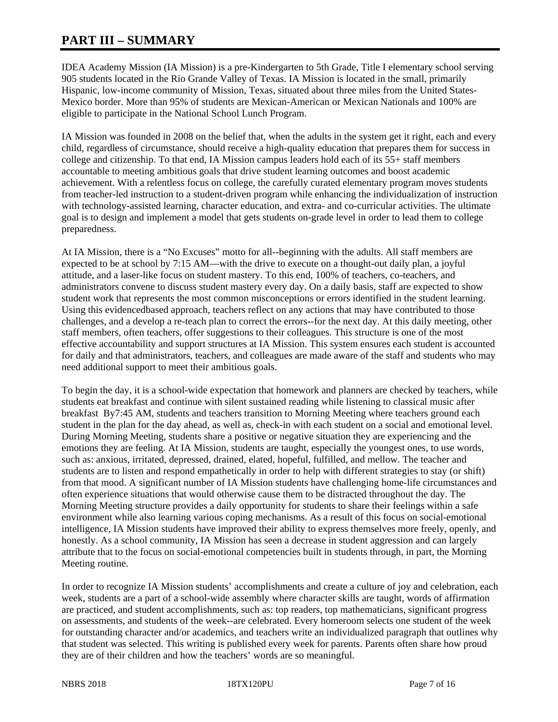# **PART III – SUMMARY**

IDEA Academy Mission (IA Mission) is a pre-Kindergarten to 5th Grade, Title I elementary school serving 905 students located in the Rio Grande Valley of Texas. IA Mission is located in the small, primarily Hispanic, low-income community of Mission, Texas, situated about three miles from the United States-Mexico border. More than 95% of students are Mexican-American or Mexican Nationals and 100% are eligible to participate in the National School Lunch Program.

IA Mission was founded in 2008 on the belief that, when the adults in the system get it right, each and every child, regardless of circumstance, should receive a high-quality education that prepares them for success in college and citizenship. To that end, IA Mission campus leaders hold each of its 55+ staff members accountable to meeting ambitious goals that drive student learning outcomes and boost academic achievement. With a relentless focus on college, the carefully curated elementary program moves students from teacher-led instruction to a student-driven program while enhancing the individualization of instruction with technology-assisted learning, character education, and extra- and co-curricular activities. The ultimate goal is to design and implement a model that gets students on-grade level in order to lead them to college preparedness.

At IA Mission, there is a "No Excuses" motto for all--beginning with the adults. All staff members are expected to be at school by 7:15 AM—with the drive to execute on a thought-out daily plan, a joyful attitude, and a laser-like focus on student mastery. To this end, 100% of teachers, co-teachers, and administrators convene to discuss student mastery every day. On a daily basis, staff are expected to show student work that represents the most common misconceptions or errors identified in the student learning. Using this evidencedbased approach, teachers reflect on any actions that may have contributed to those challenges, and a develop a re-teach plan to correct the errors--for the next day. At this daily meeting, other staff members, often teachers, offer suggestions to their colleagues. This structure is one of the most effective accountability and support structures at IA Mission. This system ensures each student is accounted for daily and that administrators, teachers, and colleagues are made aware of the staff and students who may need additional support to meet their ambitious goals.

To begin the day, it is a school-wide expectation that homework and planners are checked by teachers, while students eat breakfast and continue with silent sustained reading while listening to classical music after breakfast By7:45 AM, students and teachers transition to Morning Meeting where teachers ground each student in the plan for the day ahead, as well as, check-in with each student on a social and emotional level. During Morning Meeting, students share a positive or negative situation they are experiencing and the emotions they are feeling. At IA Mission, students are taught, especially the youngest ones, to use words, such as: anxious, irritated, depressed, drained, elated, hopeful, fulfilled, and mellow. The teacher and students are to listen and respond empathetically in order to help with different strategies to stay (or shift) from that mood. A significant number of IA Mission students have challenging home-life circumstances and often experience situations that would otherwise cause them to be distracted throughout the day. The Morning Meeting structure provides a daily opportunity for students to share their feelings within a safe environment while also learning various coping mechanisms. As a result of this focus on social-emotional intelligence, IA Mission students have improved their ability to express themselves more freely, openly, and honestly. As a school community, IA Mission has seen a decrease in student aggression and can largely attribute that to the focus on social-emotional competencies built in students through, in part, the Morning Meeting routine.

In order to recognize IA Mission students' accomplishments and create a culture of joy and celebration, each week, students are a part of a school-wide assembly where character skills are taught, words of affirmation are practiced, and student accomplishments, such as: top readers, top mathematicians, significant progress on assessments, and students of the week--are celebrated. Every homeroom selects one student of the week for outstanding character and/or academics, and teachers write an individualized paragraph that outlines why that student was selected. This writing is published every week for parents. Parents often share how proud they are of their children and how the teachers' words are so meaningful.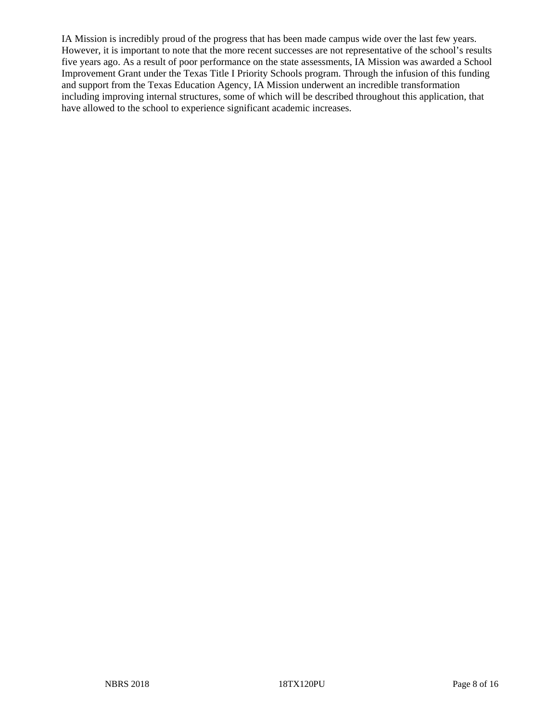IA Mission is incredibly proud of the progress that has been made campus wide over the last few years. However, it is important to note that the more recent successes are not representative of the school's results five years ago. As a result of poor performance on the state assessments, IA Mission was awarded a School Improvement Grant under the Texas Title I Priority Schools program. Through the infusion of this funding and support from the Texas Education Agency, IA Mission underwent an incredible transformation including improving internal structures, some of which will be described throughout this application, that have allowed to the school to experience significant academic increases.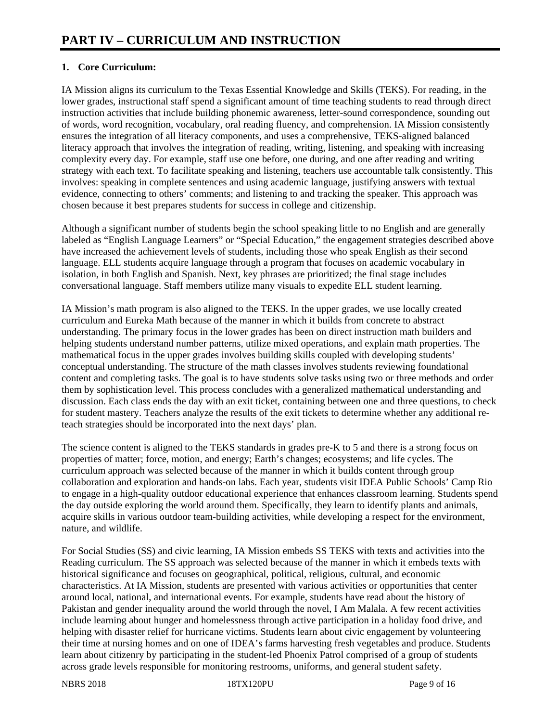## **1. Core Curriculum:**

IA Mission aligns its curriculum to the Texas Essential Knowledge and Skills (TEKS). For reading, in the lower grades, instructional staff spend a significant amount of time teaching students to read through direct instruction activities that include building phonemic awareness, letter-sound correspondence, sounding out of words, word recognition, vocabulary, oral reading fluency, and comprehension. IA Mission consistently ensures the integration of all literacy components, and uses a comprehensive, TEKS-aligned balanced literacy approach that involves the integration of reading, writing, listening, and speaking with increasing complexity every day. For example, staff use one before, one during, and one after reading and writing strategy with each text. To facilitate speaking and listening, teachers use accountable talk consistently. This involves: speaking in complete sentences and using academic language, justifying answers with textual evidence, connecting to others' comments; and listening to and tracking the speaker. This approach was chosen because it best prepares students for success in college and citizenship.

Although a significant number of students begin the school speaking little to no English and are generally labeled as "English Language Learners" or "Special Education," the engagement strategies described above have increased the achievement levels of students, including those who speak English as their second language. ELL students acquire language through a program that focuses on academic vocabulary in isolation, in both English and Spanish. Next, key phrases are prioritized; the final stage includes conversational language. Staff members utilize many visuals to expedite ELL student learning.

IA Mission's math program is also aligned to the TEKS. In the upper grades, we use locally created curriculum and Eureka Math because of the manner in which it builds from concrete to abstract understanding. The primary focus in the lower grades has been on direct instruction math builders and helping students understand number patterns, utilize mixed operations, and explain math properties. The mathematical focus in the upper grades involves building skills coupled with developing students' conceptual understanding. The structure of the math classes involves students reviewing foundational content and completing tasks. The goal is to have students solve tasks using two or three methods and order them by sophistication level. This process concludes with a generalized mathematical understanding and discussion. Each class ends the day with an exit ticket, containing between one and three questions, to check for student mastery. Teachers analyze the results of the exit tickets to determine whether any additional reteach strategies should be incorporated into the next days' plan.

The science content is aligned to the TEKS standards in grades pre-K to 5 and there is a strong focus on properties of matter; force, motion, and energy; Earth's changes; ecosystems; and life cycles. The curriculum approach was selected because of the manner in which it builds content through group collaboration and exploration and hands-on labs. Each year, students visit IDEA Public Schools' Camp Rio to engage in a high-quality outdoor educational experience that enhances classroom learning. Students spend the day outside exploring the world around them. Specifically, they learn to identify plants and animals, acquire skills in various outdoor team-building activities, while developing a respect for the environment, nature, and wildlife.

For Social Studies (SS) and civic learning, IA Mission embeds SS TEKS with texts and activities into the Reading curriculum. The SS approach was selected because of the manner in which it embeds texts with historical significance and focuses on geographical, political, religious, cultural, and economic characteristics. At IA Mission, students are presented with various activities or opportunities that center around local, national, and international events. For example, students have read about the history of Pakistan and gender inequality around the world through the novel, I Am Malala. A few recent activities include learning about hunger and homelessness through active participation in a holiday food drive, and helping with disaster relief for hurricane victims. Students learn about civic engagement by volunteering their time at nursing homes and on one of IDEA's farms harvesting fresh vegetables and produce. Students learn about citizenry by participating in the student-led Phoenix Patrol comprised of a group of students across grade levels responsible for monitoring restrooms, uniforms, and general student safety.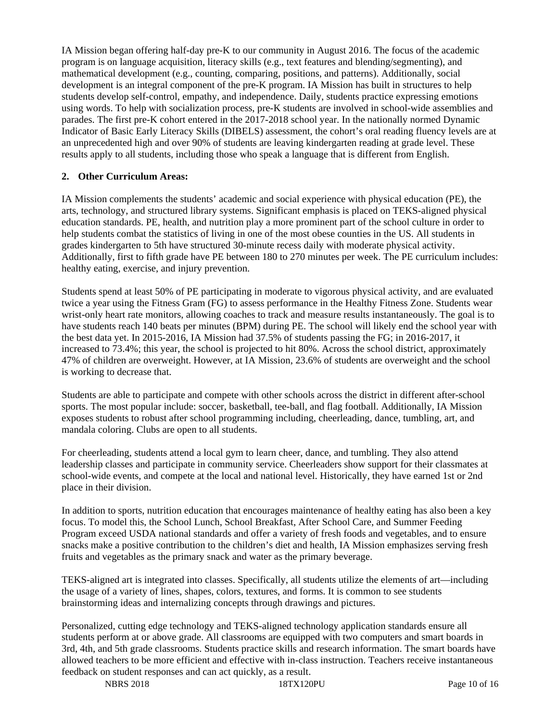IA Mission began offering half-day pre-K to our community in August 2016. The focus of the academic program is on language acquisition, literacy skills (e.g., text features and blending/segmenting), and mathematical development (e.g., counting, comparing, positions, and patterns). Additionally, social development is an integral component of the pre-K program. IA Mission has built in structures to help students develop self-control, empathy, and independence. Daily, students practice expressing emotions using words. To help with socialization process, pre-K students are involved in school-wide assemblies and parades. The first pre-K cohort entered in the 2017-2018 school year. In the nationally normed Dynamic Indicator of Basic Early Literacy Skills (DIBELS) assessment, the cohort's oral reading fluency levels are at an unprecedented high and over 90% of students are leaving kindergarten reading at grade level. These results apply to all students, including those who speak a language that is different from English.

## **2. Other Curriculum Areas:**

IA Mission complements the students' academic and social experience with physical education (PE), the arts, technology, and structured library systems. Significant emphasis is placed on TEKS-aligned physical education standards. PE, health, and nutrition play a more prominent part of the school culture in order to help students combat the statistics of living in one of the most obese counties in the US. All students in grades kindergarten to 5th have structured 30-minute recess daily with moderate physical activity. Additionally, first to fifth grade have PE between 180 to 270 minutes per week. The PE curriculum includes: healthy eating, exercise, and injury prevention.

Students spend at least 50% of PE participating in moderate to vigorous physical activity, and are evaluated twice a year using the Fitness Gram (FG) to assess performance in the Healthy Fitness Zone. Students wear wrist-only heart rate monitors, allowing coaches to track and measure results instantaneously. The goal is to have students reach 140 beats per minutes (BPM) during PE. The school will likely end the school year with the best data yet. In 2015-2016, IA Mission had 37.5% of students passing the FG; in 2016-2017, it increased to 73.4%; this year, the school is projected to hit 80%. Across the school district, approximately 47% of children are overweight. However, at IA Mission, 23.6% of students are overweight and the school is working to decrease that.

Students are able to participate and compete with other schools across the district in different after-school sports. The most popular include: soccer, basketball, tee-ball, and flag football. Additionally, IA Mission exposes students to robust after school programming including, cheerleading, dance, tumbling, art, and mandala coloring. Clubs are open to all students.

For cheerleading, students attend a local gym to learn cheer, dance, and tumbling. They also attend leadership classes and participate in community service. Cheerleaders show support for their classmates at school-wide events, and compete at the local and national level. Historically, they have earned 1st or 2nd place in their division.

In addition to sports, nutrition education that encourages maintenance of healthy eating has also been a key focus. To model this, the School Lunch, School Breakfast, After School Care, and Summer Feeding Program exceed USDA national standards and offer a variety of fresh foods and vegetables, and to ensure snacks make a positive contribution to the children's diet and health, IA Mission emphasizes serving fresh fruits and vegetables as the primary snack and water as the primary beverage.

TEKS-aligned art is integrated into classes. Specifically, all students utilize the elements of art—including the usage of a variety of lines, shapes, colors, textures, and forms. It is common to see students brainstorming ideas and internalizing concepts through drawings and pictures.

Personalized, cutting edge technology and TEKS-aligned technology application standards ensure all students perform at or above grade. All classrooms are equipped with two computers and smart boards in 3rd, 4th, and 5th grade classrooms. Students practice skills and research information. The smart boards have allowed teachers to be more efficient and effective with in-class instruction. Teachers receive instantaneous feedback on student responses and can act quickly, as a result.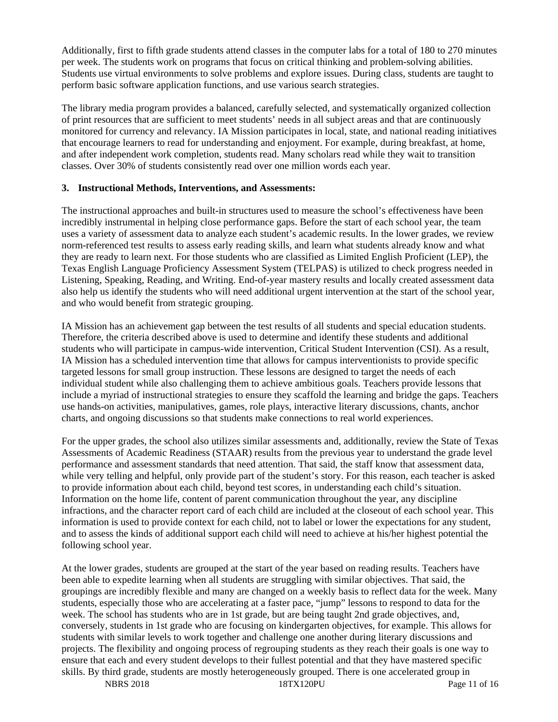Additionally, first to fifth grade students attend classes in the computer labs for a total of 180 to 270 minutes per week. The students work on programs that focus on critical thinking and problem-solving abilities. Students use virtual environments to solve problems and explore issues. During class, students are taught to perform basic software application functions, and use various search strategies.

The library media program provides a balanced, carefully selected, and systematically organized collection of print resources that are sufficient to meet students' needs in all subject areas and that are continuously monitored for currency and relevancy. IA Mission participates in local, state, and national reading initiatives that encourage learners to read for understanding and enjoyment. For example, during breakfast, at home, and after independent work completion, students read. Many scholars read while they wait to transition classes. Over 30% of students consistently read over one million words each year.

## **3. Instructional Methods, Interventions, and Assessments:**

The instructional approaches and built-in structures used to measure the school's effectiveness have been incredibly instrumental in helping close performance gaps. Before the start of each school year, the team uses a variety of assessment data to analyze each student's academic results. In the lower grades, we review norm-referenced test results to assess early reading skills, and learn what students already know and what they are ready to learn next. For those students who are classified as Limited English Proficient (LEP), the Texas English Language Proficiency Assessment System (TELPAS) is utilized to check progress needed in Listening, Speaking, Reading, and Writing. End-of-year mastery results and locally created assessment data also help us identify the students who will need additional urgent intervention at the start of the school year, and who would benefit from strategic grouping.

IA Mission has an achievement gap between the test results of all students and special education students. Therefore, the criteria described above is used to determine and identify these students and additional students who will participate in campus-wide intervention, Critical Student Intervention (CSI). As a result, IA Mission has a scheduled intervention time that allows for campus interventionists to provide specific targeted lessons for small group instruction. These lessons are designed to target the needs of each individual student while also challenging them to achieve ambitious goals. Teachers provide lessons that include a myriad of instructional strategies to ensure they scaffold the learning and bridge the gaps. Teachers use hands-on activities, manipulatives, games, role plays, interactive literary discussions, chants, anchor charts, and ongoing discussions so that students make connections to real world experiences.

For the upper grades, the school also utilizes similar assessments and, additionally, review the State of Texas Assessments of Academic Readiness (STAAR) results from the previous year to understand the grade level performance and assessment standards that need attention. That said, the staff know that assessment data, while very telling and helpful, only provide part of the student's story. For this reason, each teacher is asked to provide information about each child, beyond test scores, in understanding each child's situation. Information on the home life, content of parent communication throughout the year, any discipline infractions, and the character report card of each child are included at the closeout of each school year. This information is used to provide context for each child, not to label or lower the expectations for any student, and to assess the kinds of additional support each child will need to achieve at his/her highest potential the following school year.

At the lower grades, students are grouped at the start of the year based on reading results. Teachers have been able to expedite learning when all students are struggling with similar objectives. That said, the groupings are incredibly flexible and many are changed on a weekly basis to reflect data for the week. Many students, especially those who are accelerating at a faster pace, "jump" lessons to respond to data for the week. The school has students who are in 1st grade, but are being taught 2nd grade objectives, and, conversely, students in 1st grade who are focusing on kindergarten objectives, for example. This allows for students with similar levels to work together and challenge one another during literary discussions and projects. The flexibility and ongoing process of regrouping students as they reach their goals is one way to ensure that each and every student develops to their fullest potential and that they have mastered specific skills. By third grade, students are mostly heterogeneously grouped. There is one accelerated group in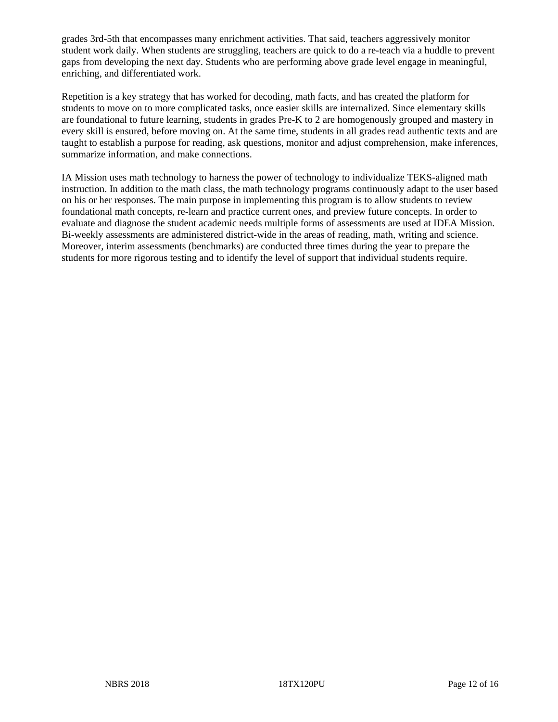grades 3rd-5th that encompasses many enrichment activities. That said, teachers aggressively monitor student work daily. When students are struggling, teachers are quick to do a re-teach via a huddle to prevent gaps from developing the next day. Students who are performing above grade level engage in meaningful, enriching, and differentiated work.

Repetition is a key strategy that has worked for decoding, math facts, and has created the platform for students to move on to more complicated tasks, once easier skills are internalized. Since elementary skills are foundational to future learning, students in grades Pre-K to 2 are homogenously grouped and mastery in every skill is ensured, before moving on. At the same time, students in all grades read authentic texts and are taught to establish a purpose for reading, ask questions, monitor and adjust comprehension, make inferences, summarize information, and make connections.

IA Mission uses math technology to harness the power of technology to individualize TEKS-aligned math instruction. In addition to the math class, the math technology programs continuously adapt to the user based on his or her responses. The main purpose in implementing this program is to allow students to review foundational math concepts, re-learn and practice current ones, and preview future concepts. In order to evaluate and diagnose the student academic needs multiple forms of assessments are used at IDEA Mission. Bi-weekly assessments are administered district-wide in the areas of reading, math, writing and science. Moreover, interim assessments (benchmarks) are conducted three times during the year to prepare the students for more rigorous testing and to identify the level of support that individual students require.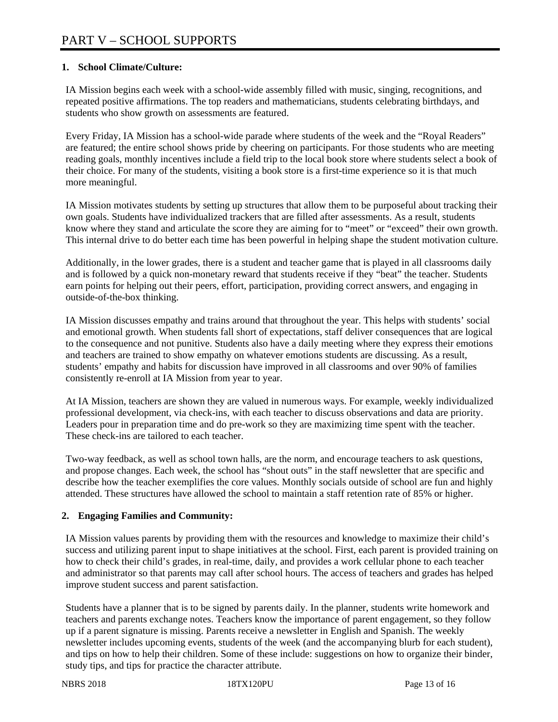## **1. School Climate/Culture:**

IA Mission begins each week with a school-wide assembly filled with music, singing, recognitions, and repeated positive affirmations. The top readers and mathematicians, students celebrating birthdays, and students who show growth on assessments are featured.

Every Friday, IA Mission has a school-wide parade where students of the week and the "Royal Readers" are featured; the entire school shows pride by cheering on participants. For those students who are meeting reading goals, monthly incentives include a field trip to the local book store where students select a book of their choice. For many of the students, visiting a book store is a first-time experience so it is that much more meaningful.

IA Mission motivates students by setting up structures that allow them to be purposeful about tracking their own goals. Students have individualized trackers that are filled after assessments. As a result, students know where they stand and articulate the score they are aiming for to "meet" or "exceed" their own growth. This internal drive to do better each time has been powerful in helping shape the student motivation culture.

Additionally, in the lower grades, there is a student and teacher game that is played in all classrooms daily and is followed by a quick non-monetary reward that students receive if they "beat" the teacher. Students earn points for helping out their peers, effort, participation, providing correct answers, and engaging in outside-of-the-box thinking.

IA Mission discusses empathy and trains around that throughout the year. This helps with students' social and emotional growth. When students fall short of expectations, staff deliver consequences that are logical to the consequence and not punitive. Students also have a daily meeting where they express their emotions and teachers are trained to show empathy on whatever emotions students are discussing. As a result, students' empathy and habits for discussion have improved in all classrooms and over 90% of families consistently re-enroll at IA Mission from year to year.

At IA Mission, teachers are shown they are valued in numerous ways. For example, weekly individualized professional development, via check-ins, with each teacher to discuss observations and data are priority. Leaders pour in preparation time and do pre-work so they are maximizing time spent with the teacher. These check-ins are tailored to each teacher.

Two-way feedback, as well as school town halls, are the norm, and encourage teachers to ask questions, and propose changes. Each week, the school has "shout outs" in the staff newsletter that are specific and describe how the teacher exemplifies the core values. Monthly socials outside of school are fun and highly attended. These structures have allowed the school to maintain a staff retention rate of 85% or higher.

#### **2. Engaging Families and Community:**

IA Mission values parents by providing them with the resources and knowledge to maximize their child's success and utilizing parent input to shape initiatives at the school. First, each parent is provided training on how to check their child's grades, in real-time, daily, and provides a work cellular phone to each teacher and administrator so that parents may call after school hours. The access of teachers and grades has helped improve student success and parent satisfaction.

Students have a planner that is to be signed by parents daily. In the planner, students write homework and teachers and parents exchange notes. Teachers know the importance of parent engagement, so they follow up if a parent signature is missing. Parents receive a newsletter in English and Spanish. The weekly newsletter includes upcoming events, students of the week (and the accompanying blurb for each student), and tips on how to help their children. Some of these include: suggestions on how to organize their binder, study tips, and tips for practice the character attribute.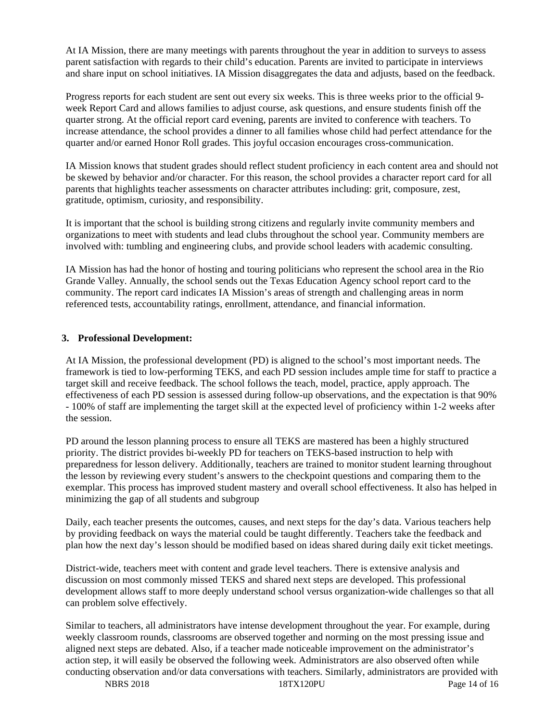At IA Mission, there are many meetings with parents throughout the year in addition to surveys to assess parent satisfaction with regards to their child's education. Parents are invited to participate in interviews and share input on school initiatives. IA Mission disaggregates the data and adjusts, based on the feedback.

Progress reports for each student are sent out every six weeks. This is three weeks prior to the official 9 week Report Card and allows families to adjust course, ask questions, and ensure students finish off the quarter strong. At the official report card evening, parents are invited to conference with teachers. To increase attendance, the school provides a dinner to all families whose child had perfect attendance for the quarter and/or earned Honor Roll grades. This joyful occasion encourages cross-communication.

IA Mission knows that student grades should reflect student proficiency in each content area and should not be skewed by behavior and/or character. For this reason, the school provides a character report card for all parents that highlights teacher assessments on character attributes including: grit, composure, zest, gratitude, optimism, curiosity, and responsibility.

It is important that the school is building strong citizens and regularly invite community members and organizations to meet with students and lead clubs throughout the school year. Community members are involved with: tumbling and engineering clubs, and provide school leaders with academic consulting.

IA Mission has had the honor of hosting and touring politicians who represent the school area in the Rio Grande Valley. Annually, the school sends out the Texas Education Agency school report card to the community. The report card indicates IA Mission's areas of strength and challenging areas in norm referenced tests, accountability ratings, enrollment, attendance, and financial information.

## **3. Professional Development:**

At IA Mission, the professional development (PD) is aligned to the school's most important needs. The framework is tied to low-performing TEKS, and each PD session includes ample time for staff to practice a target skill and receive feedback. The school follows the teach, model, practice, apply approach. The effectiveness of each PD session is assessed during follow-up observations, and the expectation is that 90% - 100% of staff are implementing the target skill at the expected level of proficiency within 1-2 weeks after the session.

PD around the lesson planning process to ensure all TEKS are mastered has been a highly structured priority. The district provides bi-weekly PD for teachers on TEKS-based instruction to help with preparedness for lesson delivery. Additionally, teachers are trained to monitor student learning throughout the lesson by reviewing every student's answers to the checkpoint questions and comparing them to the exemplar. This process has improved student mastery and overall school effectiveness. It also has helped in minimizing the gap of all students and subgroup

Daily, each teacher presents the outcomes, causes, and next steps for the day's data. Various teachers help by providing feedback on ways the material could be taught differently. Teachers take the feedback and plan how the next day's lesson should be modified based on ideas shared during daily exit ticket meetings.

District-wide, teachers meet with content and grade level teachers. There is extensive analysis and discussion on most commonly missed TEKS and shared next steps are developed. This professional development allows staff to more deeply understand school versus organization-wide challenges so that all can problem solve effectively.

Similar to teachers, all administrators have intense development throughout the year. For example, during weekly classroom rounds, classrooms are observed together and norming on the most pressing issue and aligned next steps are debated. Also, if a teacher made noticeable improvement on the administrator's action step, it will easily be observed the following week. Administrators are also observed often while conducting observation and/or data conversations with teachers. Similarly, administrators are provided with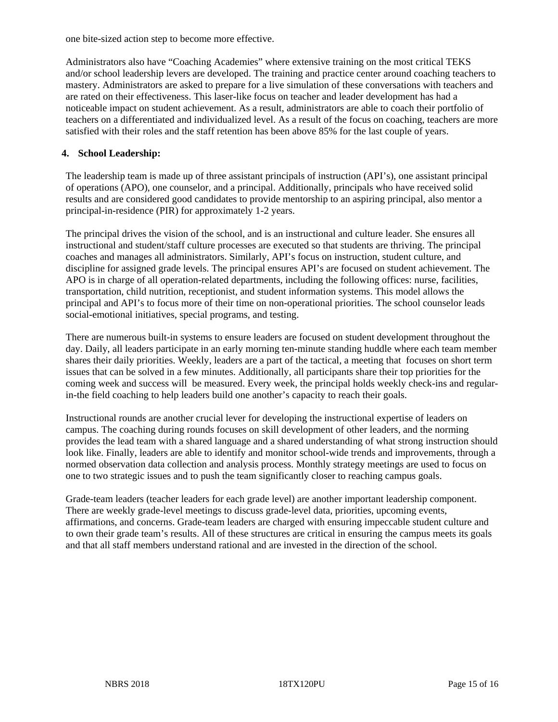one bite-sized action step to become more effective.

Administrators also have "Coaching Academies" where extensive training on the most critical TEKS and/or school leadership levers are developed. The training and practice center around coaching teachers to mastery. Administrators are asked to prepare for a live simulation of these conversations with teachers and are rated on their effectiveness. This laser-like focus on teacher and leader development has had a noticeable impact on student achievement. As a result, administrators are able to coach their portfolio of teachers on a differentiated and individualized level. As a result of the focus on coaching, teachers are more satisfied with their roles and the staff retention has been above 85% for the last couple of years.

#### **4. School Leadership:**

The leadership team is made up of three assistant principals of instruction (API's), one assistant principal of operations (APO), one counselor, and a principal. Additionally, principals who have received solid results and are considered good candidates to provide mentorship to an aspiring principal, also mentor a principal-in-residence (PIR) for approximately 1-2 years.

The principal drives the vision of the school, and is an instructional and culture leader. She ensures all instructional and student/staff culture processes are executed so that students are thriving. The principal coaches and manages all administrators. Similarly, API's focus on instruction, student culture, and discipline for assigned grade levels. The principal ensures API's are focused on student achievement. The APO is in charge of all operation-related departments, including the following offices: nurse, facilities, transportation, child nutrition, receptionist, and student information systems. This model allows the principal and API's to focus more of their time on non-operational priorities. The school counselor leads social-emotional initiatives, special programs, and testing.

There are numerous built-in systems to ensure leaders are focused on student development throughout the day. Daily, all leaders participate in an early morning ten-minute standing huddle where each team member shares their daily priorities. Weekly, leaders are a part of the tactical, a meeting that focuses on short term issues that can be solved in a few minutes. Additionally, all participants share their top priorities for the coming week and success will be measured. Every week, the principal holds weekly check-ins and regularin-the field coaching to help leaders build one another's capacity to reach their goals.

Instructional rounds are another crucial lever for developing the instructional expertise of leaders on campus. The coaching during rounds focuses on skill development of other leaders, and the norming provides the lead team with a shared language and a shared understanding of what strong instruction should look like. Finally, leaders are able to identify and monitor school-wide trends and improvements, through a normed observation data collection and analysis process. Monthly strategy meetings are used to focus on one to two strategic issues and to push the team significantly closer to reaching campus goals.

Grade-team leaders (teacher leaders for each grade level) are another important leadership component. There are weekly grade-level meetings to discuss grade-level data, priorities, upcoming events, affirmations, and concerns. Grade-team leaders are charged with ensuring impeccable student culture and to own their grade team's results. All of these structures are critical in ensuring the campus meets its goals and that all staff members understand rational and are invested in the direction of the school.